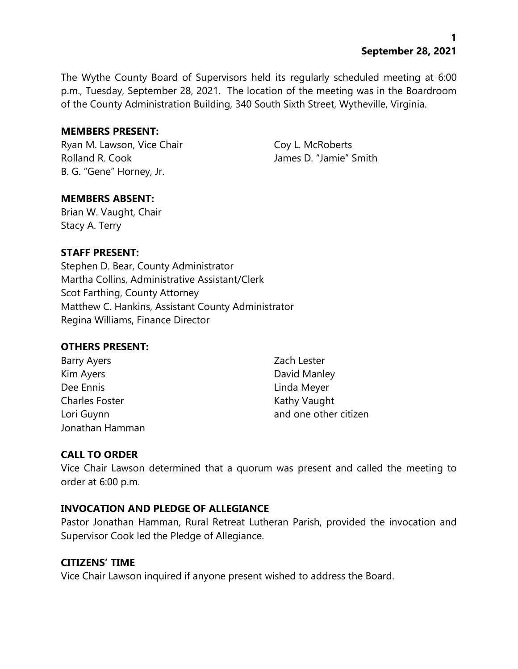The Wythe County Board of Supervisors held its regularly scheduled meeting at 6:00 p.m., Tuesday, September 28, 2021. The location of the meeting was in the Boardroom of the County Administration Building, 340 South Sixth Street, Wytheville, Virginia.

#### **MEMBERS PRESENT:**

Ryan M. Lawson, Vice Chair Coy L. McRoberts Rolland R. Cook James D. "Jamie" Smith B. G. "Gene" Horney, Jr.

## **MEMBERS ABSENT:**

Brian W. Vaught, Chair Stacy A. Terry

## **STAFF PRESENT:**

Stephen D. Bear, County Administrator Martha Collins, Administrative Assistant/Clerk Scot Farthing, County Attorney Matthew C. Hankins, Assistant County Administrator Regina Williams, Finance Director

## **OTHERS PRESENT:**

| Barry Ayers           | Zach Lester           |
|-----------------------|-----------------------|
| Kim Ayers             | David Manley          |
| Dee Ennis             | Linda Meyer           |
| <b>Charles Foster</b> | Kathy Vaught          |
| Lori Guynn            | and one other citizen |
| Jonathan Hamman       |                       |

## **CALL TO ORDER**

Vice Chair Lawson determined that a quorum was present and called the meeting to order at 6:00 p.m.

## **INVOCATION AND PLEDGE OF ALLEGIANCE**

Pastor Jonathan Hamman, Rural Retreat Lutheran Parish, provided the invocation and Supervisor Cook led the Pledge of Allegiance.

#### **CITIZENS' TIME**

Vice Chair Lawson inquired if anyone present wished to address the Board.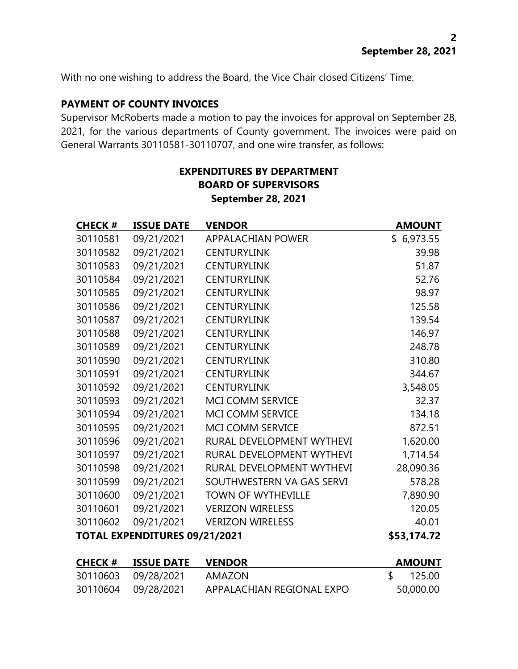With no one wishing to address the Board, the Vice Chair closed Citizens' Time.

#### **PAYMENT OF COUNTY INVOICES**

Supervisor McRoberts made a motion to pay the invoices for approval on September 28, 2021, for the various departments of County government. The invoices were paid on General Warrants 30110581-30110707, and one wire transfer, as follows:

| <b>BOARD OF SUPERVISORS</b> |                   |                           |                |
|-----------------------------|-------------------|---------------------------|----------------|
| September 28, 2021          |                   |                           |                |
| <b>CHECK#</b>               | <b>ISSUE DATE</b> | <b>VENDOR</b>             | <b>AMOUNT</b>  |
| 30110581                    | 09/21/2021        | <b>APPALACHIAN POWER</b>  | 6,973.55<br>\$ |
| 30110582                    | 09/21/2021        | <b>CENTURYLINK</b>        | 39.98          |
| 30110583                    | 09/21/2021        | <b>CENTURYLINK</b>        | 51.87          |
| 30110584                    | 09/21/2021        | <b>CENTURYLINK</b>        | 52.76          |
| 30110585                    | 09/21/2021        | <b>CENTURYLINK</b>        | 98.97          |
| 30110586                    | 09/21/2021        | <b>CENTURYLINK</b>        | 125.58         |
| 30110587                    | 09/21/2021        | <b>CENTURYLINK</b>        | 139.54         |
| 30110588                    | 09/21/2021        | <b>CENTURYLINK</b>        | 146.97         |
| 30110589                    | 09/21/2021        | <b>CENTURYLINK</b>        | 248.78         |
| 30110590                    | 09/21/2021        | <b>CENTURYLINK</b>        | 310.80         |
| 30110591                    | 09/21/2021        | <b>CENTURYLINK</b>        | 344.67         |
| 30110592                    | 09/21/2021        | <b>CENTURYLINK</b>        | 3,548.05       |
| 30110593                    | 09/21/2021        | <b>MCI COMM SERVICE</b>   | 32.37          |
| 30110594                    | 09/21/2021        | <b>MCI COMM SERVICE</b>   | 134.18         |
| 30110595                    | 09/21/2021        | MCI COMM SERVICE          | 872.51         |
| 30110596                    | 09/21/2021        | RURAL DEVELOPMENT WYTHEVI | 1,620.00       |
| 30110597                    | 09/21/2021        | RURAL DEVELOPMENT WYTHEVI | 1,714.54       |
| 30110598                    | 09/21/2021        | RURAL DEVELOPMENT WYTHEVI | 28,090.36      |
| 30110599                    | 09/21/2021        | SOUTHWESTERN VA GAS SERVI | 578.28         |
| 30110600                    | 09/21/2021        | <b>TOWN OF WYTHEVILLE</b> | 7,890.90       |
| 30110601                    | 09/21/2021        | <b>VERIZON WIRELESS</b>   | 120.05         |
| 30110602                    | 09/21/2021        | <b>VERIZON WIRELESS</b>   | 40.01          |

# **EXPENDITURES BY DEPARTMENT**

**TOTAL EXPENDITURES 09/21/2021 \$53,174.72**

| <b>CHECK #</b> | <b>ISSUE DATE</b>   | <b>VENDOR</b>             | AMOUNT    |
|----------------|---------------------|---------------------------|-----------|
|                | 30110603 09/28/2021 | AMAZON                    | 125.00    |
|                | 30110604 09/28/2021 | APPALACHIAN REGIONAL EXPO | 50,000.00 |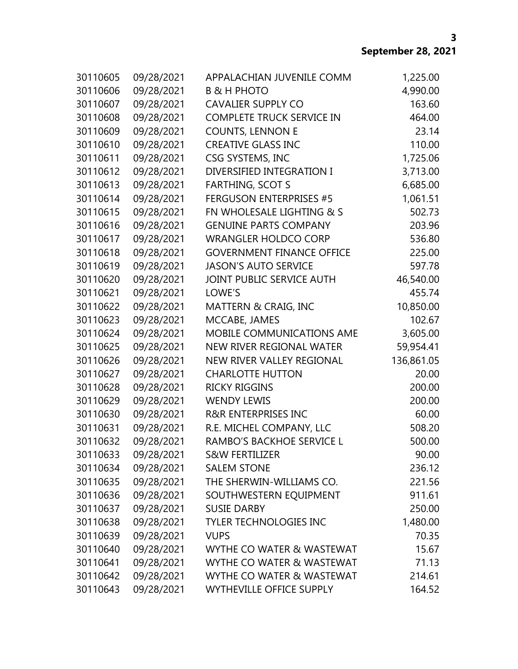| 30110605 | 09/28/2021 | APPALACHIAN JUVENILE COMM        | 1,225.00   |
|----------|------------|----------------------------------|------------|
| 30110606 | 09/28/2021 | <b>B &amp; H PHOTO</b>           | 4,990.00   |
| 30110607 | 09/28/2021 | <b>CAVALIER SUPPLY CO</b>        | 163.60     |
| 30110608 | 09/28/2021 | <b>COMPLETE TRUCK SERVICE IN</b> | 464.00     |
| 30110609 | 09/28/2021 | <b>COUNTS, LENNON E</b>          | 23.14      |
| 30110610 | 09/28/2021 | <b>CREATIVE GLASS INC</b>        | 110.00     |
| 30110611 | 09/28/2021 | CSG SYSTEMS, INC                 | 1,725.06   |
| 30110612 | 09/28/2021 | DIVERSIFIED INTEGRATION I        | 3,713.00   |
| 30110613 | 09/28/2021 | <b>FARTHING, SCOT S</b>          | 6,685.00   |
| 30110614 | 09/28/2021 | <b>FERGUSON ENTERPRISES #5</b>   | 1,061.51   |
| 30110615 | 09/28/2021 | FN WHOLESALE LIGHTING & S        | 502.73     |
| 30110616 | 09/28/2021 | <b>GENUINE PARTS COMPANY</b>     | 203.96     |
| 30110617 | 09/28/2021 | <b>WRANGLER HOLDCO CORP</b>      | 536.80     |
| 30110618 | 09/28/2021 | <b>GOVERNMENT FINANCE OFFICE</b> | 225.00     |
| 30110619 | 09/28/2021 | <b>JASON'S AUTO SERVICE</b>      | 597.78     |
| 30110620 | 09/28/2021 | JOINT PUBLIC SERVICE AUTH        | 46,540.00  |
| 30110621 | 09/28/2021 | LOWE'S                           | 455.74     |
| 30110622 | 09/28/2021 | MATTERN & CRAIG, INC             | 10,850.00  |
| 30110623 | 09/28/2021 | MCCABE, JAMES                    | 102.67     |
| 30110624 | 09/28/2021 | MOBILE COMMUNICATIONS AME        | 3,605.00   |
| 30110625 | 09/28/2021 | NEW RIVER REGIONAL WATER         | 59,954.41  |
| 30110626 | 09/28/2021 | NEW RIVER VALLEY REGIONAL        | 136,861.05 |
| 30110627 | 09/28/2021 | <b>CHARLOTTE HUTTON</b>          | 20.00      |
| 30110628 | 09/28/2021 | <b>RICKY RIGGINS</b>             | 200.00     |
| 30110629 | 09/28/2021 | <b>WENDY LEWIS</b>               | 200.00     |
| 30110630 | 09/28/2021 | <b>R&amp;R ENTERPRISES INC</b>   | 60.00      |
| 30110631 | 09/28/2021 | R.E. MICHEL COMPANY, LLC         | 508.20     |
| 30110632 | 09/28/2021 | RAMBO'S BACKHOE SERVICE L        | 500.00     |
| 30110633 | 09/28/2021 | <b>S&amp;W FERTILIZER</b>        | 90.00      |
| 30110634 | 09/28/2021 | <b>SALEM STONE</b>               | 236.12     |
| 30110635 | 09/28/2021 | THE SHERWIN-WILLIAMS CO.         | 221.56     |
| 30110636 | 09/28/2021 | SOUTHWESTERN EQUIPMENT           | 911.61     |
| 30110637 | 09/28/2021 | <b>SUSIE DARBY</b>               | 250.00     |
| 30110638 | 09/28/2021 | <b>TYLER TECHNOLOGIES INC</b>    | 1,480.00   |
| 30110639 | 09/28/2021 | <b>VUPS</b>                      | 70.35      |
| 30110640 | 09/28/2021 | WYTHE CO WATER & WASTEWAT        | 15.67      |
| 30110641 | 09/28/2021 | WYTHE CO WATER & WASTEWAT        | 71.13      |
| 30110642 | 09/28/2021 | WYTHE CO WATER & WASTEWAT        | 214.61     |
| 30110643 | 09/28/2021 | <b>WYTHEVILLE OFFICE SUPPLY</b>  | 164.52     |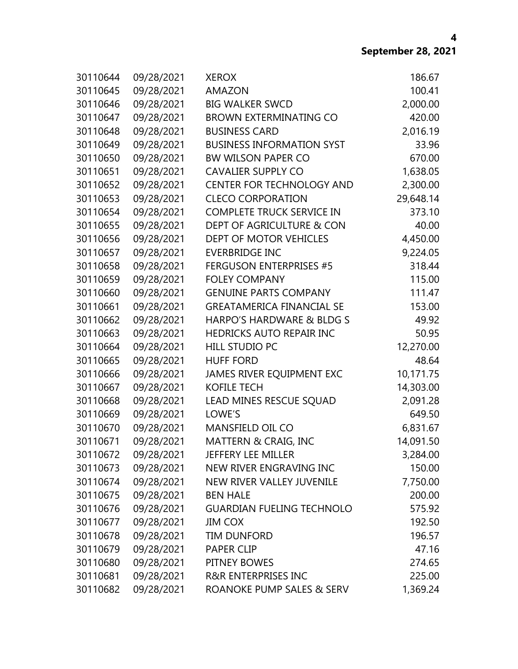| 30110644 | 09/28/2021 | <b>XEROX</b>                     | 186.67    |
|----------|------------|----------------------------------|-----------|
| 30110645 | 09/28/2021 | AMAZON                           | 100.41    |
| 30110646 | 09/28/2021 | <b>BIG WALKER SWCD</b>           | 2,000.00  |
| 30110647 | 09/28/2021 | <b>BROWN EXTERMINATING CO</b>    | 420.00    |
| 30110648 | 09/28/2021 | <b>BUSINESS CARD</b>             | 2,016.19  |
| 30110649 | 09/28/2021 | <b>BUSINESS INFORMATION SYST</b> | 33.96     |
| 30110650 | 09/28/2021 | <b>BW WILSON PAPER CO</b>        | 670.00    |
| 30110651 | 09/28/2021 | <b>CAVALIER SUPPLY CO</b>        | 1,638.05  |
| 30110652 | 09/28/2021 | CENTER FOR TECHNOLOGY AND        | 2,300.00  |
| 30110653 | 09/28/2021 | <b>CLECO CORPORATION</b>         | 29,648.14 |
| 30110654 | 09/28/2021 | <b>COMPLETE TRUCK SERVICE IN</b> | 373.10    |
| 30110655 | 09/28/2021 | DEPT OF AGRICULTURE & CON        | 40.00     |
| 30110656 | 09/28/2021 | DEPT OF MOTOR VEHICLES           | 4,450.00  |
| 30110657 | 09/28/2021 | <b>EVERBRIDGE INC</b>            | 9,224.05  |
| 30110658 | 09/28/2021 | <b>FERGUSON ENTERPRISES #5</b>   | 318.44    |
| 30110659 | 09/28/2021 | <b>FOLEY COMPANY</b>             | 115.00    |
| 30110660 | 09/28/2021 | <b>GENUINE PARTS COMPANY</b>     | 111.47    |
| 30110661 | 09/28/2021 | <b>GREATAMERICA FINANCIAL SE</b> | 153.00    |
| 30110662 | 09/28/2021 | HARPO'S HARDWARE & BLDG S        | 49.92     |
| 30110663 | 09/28/2021 | HEDRICKS AUTO REPAIR INC         | 50.95     |
| 30110664 | 09/28/2021 | <b>HILL STUDIO PC</b>            | 12,270.00 |
| 30110665 | 09/28/2021 | <b>HUFF FORD</b>                 | 48.64     |
| 30110666 | 09/28/2021 | JAMES RIVER EQUIPMENT EXC        | 10,171.75 |
| 30110667 | 09/28/2021 | <b>KOFILE TECH</b>               | 14,303.00 |
| 30110668 | 09/28/2021 | LEAD MINES RESCUE SQUAD          | 2,091.28  |
| 30110669 | 09/28/2021 | LOWE'S                           | 649.50    |
| 30110670 | 09/28/2021 | MANSFIELD OIL CO                 | 6,831.67  |
| 30110671 | 09/28/2021 | MATTERN & CRAIG, INC             | 14,091.50 |
| 30110672 | 09/28/2021 | <b>JEFFERY LEE MILLER</b>        | 3,284.00  |
| 30110673 | 09/28/2021 | NEW RIVER ENGRAVING INC          | 150.00    |
| 30110674 | 09/28/2021 | NEW RIVER VALLEY JUVENILE        | 7,750.00  |
| 30110675 | 09/28/2021 | <b>BEN HALE</b>                  | 200.00    |
| 30110676 | 09/28/2021 | <b>GUARDIAN FUELING TECHNOLO</b> | 575.92    |
| 30110677 | 09/28/2021 | <b>JIM COX</b>                   | 192.50    |
| 30110678 | 09/28/2021 | <b>TIM DUNFORD</b>               | 196.57    |
| 30110679 | 09/28/2021 | <b>PAPER CLIP</b>                | 47.16     |
| 30110680 | 09/28/2021 | PITNEY BOWES                     | 274.65    |
| 30110681 | 09/28/2021 | <b>R&amp;R ENTERPRISES INC</b>   | 225.00    |
| 30110682 | 09/28/2021 | ROANOKE PUMP SALES & SERV        | 1,369.24  |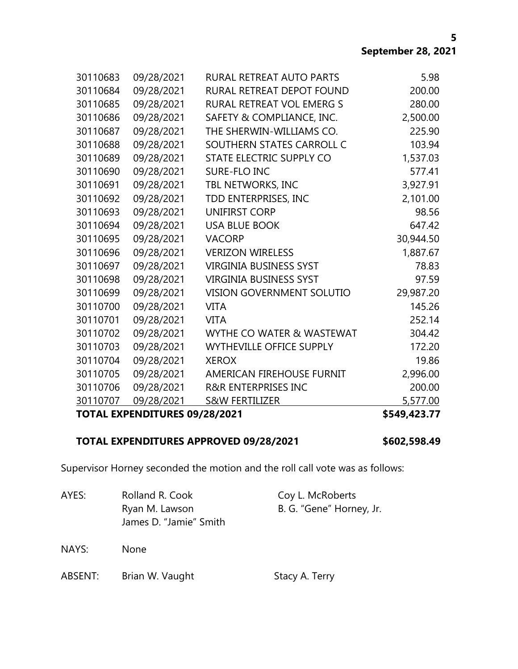| 30110683 | 09/28/2021 | <b>RURAL RETREAT AUTO PARTS</b>  | 5.98      |
|----------|------------|----------------------------------|-----------|
| 30110684 | 09/28/2021 | RURAL RETREAT DEPOT FOUND        | 200.00    |
| 30110685 | 09/28/2021 | RURAL RETREAT VOL EMERG S        | 280.00    |
| 30110686 | 09/28/2021 | SAFETY & COMPLIANCE, INC.        | 2,500.00  |
| 30110687 | 09/28/2021 | THE SHERWIN-WILLIAMS CO.         | 225.90    |
| 30110688 | 09/28/2021 | SOUTHERN STATES CARROLL C        | 103.94    |
| 30110689 | 09/28/2021 | STATE ELECTRIC SUPPLY CO         | 1,537.03  |
| 30110690 | 09/28/2021 | SURE-FLO INC                     | 577.41    |
| 30110691 | 09/28/2021 | TBL NETWORKS, INC                | 3,927.91  |
| 30110692 | 09/28/2021 | TDD ENTERPRISES, INC             | 2,101.00  |
| 30110693 | 09/28/2021 | <b>UNIFIRST CORP</b>             | 98.56     |
| 30110694 | 09/28/2021 | <b>USA BLUE BOOK</b>             | 647.42    |
| 30110695 | 09/28/2021 | <b>VACORP</b>                    | 30,944.50 |
| 30110696 | 09/28/2021 | <b>VERIZON WIRELESS</b>          | 1,887.67  |
| 30110697 | 09/28/2021 | <b>VIRGINIA BUSINESS SYST</b>    | 78.83     |
| 30110698 | 09/28/2021 | <b>VIRGINIA BUSINESS SYST</b>    | 97.59     |
| 30110699 | 09/28/2021 | VISION GOVERNMENT SOLUTIO        | 29,987.20 |
| 30110700 | 09/28/2021 | <b>VITA</b>                      | 145.26    |
| 30110701 | 09/28/2021 | <b>VITA</b>                      | 252.14    |
| 30110702 | 09/28/2021 | WYTHE CO WATER & WASTEWAT        | 304.42    |
| 30110703 | 09/28/2021 | WYTHEVILLE OFFICE SUPPLY         | 172.20    |
| 30110704 | 09/28/2021 | <b>XEROX</b>                     | 19.86     |
| 30110705 | 09/28/2021 | <b>AMERICAN FIREHOUSE FURNIT</b> | 2,996.00  |
| 30110706 | 09/28/2021 | <b>R&amp;R ENTERPRISES INC</b>   | 200.00    |
| 30110707 | 09/28/2021 | S&W FERTILIZER                   | 5,577.00  |

# **TOTAL EXPENDITURES 09/28/2021 \$549,423.77**

## **TOTAL EXPENDITURES APPROVED 09/28/2021 \$602,598.49**

Supervisor Horney seconded the motion and the roll call vote was as follows:

| AYES:   | Rolland R. Cook<br>Ryan M. Lawson<br>James D. "Jamie" Smith | Coy L. McRoberts<br>B. G. "Gene" Horney, Jr. |
|---------|-------------------------------------------------------------|----------------------------------------------|
| NAYS:   | <b>None</b>                                                 |                                              |
| ABSENT: | Brian W. Vaught                                             | Stacy A. Terry                               |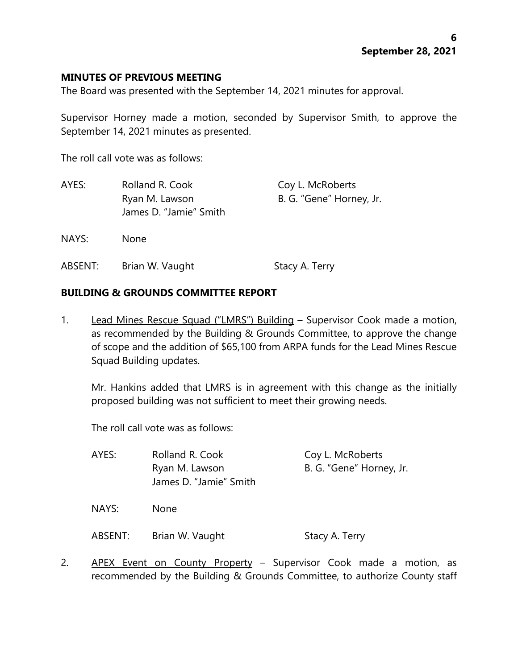#### **MINUTES OF PREVIOUS MEETING**

The Board was presented with the September 14, 2021 minutes for approval.

Supervisor Horney made a motion, seconded by Supervisor Smith, to approve the September 14, 2021 minutes as presented.

The roll call vote was as follows:

| AYES:   | Rolland R. Cook<br>Ryan M. Lawson<br>James D. "Jamie" Smith | Coy L. McRoberts<br>B. G. "Gene" Horney, Jr. |
|---------|-------------------------------------------------------------|----------------------------------------------|
| NAYS:   | <b>None</b>                                                 |                                              |
| ABSENT: | Brian W. Vaught                                             | Stacy A. Terry                               |

## **BUILDING & GROUNDS COMMITTEE REPORT**

1. Lead Mines Rescue Squad ("LMRS") Building - Supervisor Cook made a motion, as recommended by the Building & Grounds Committee, to approve the change of scope and the addition of \$65,100 from ARPA funds for the Lead Mines Rescue Squad Building updates.

Mr. Hankins added that LMRS is in agreement with this change as the initially proposed building was not sufficient to meet their growing needs.

The roll call vote was as follows:

| AYES:   | Rolland R. Cook<br>Ryan M. Lawson<br>James D. "Jamie" Smith | Coy L. McRoberts<br>B. G. "Gene" Horney, Jr. |
|---------|-------------------------------------------------------------|----------------------------------------------|
| NAYS:   | None                                                        |                                              |
| ABSENT: | Brian W. Vaught                                             | Stacy A. Terry                               |

2. APEX Event on County Property – Supervisor Cook made a motion, as recommended by the Building & Grounds Committee, to authorize County staff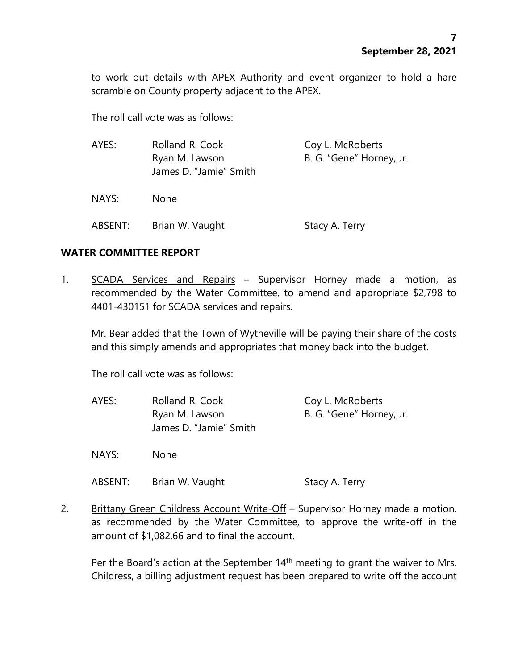to work out details with APEX Authority and event organizer to hold a hare scramble on County property adjacent to the APEX.

The roll call vote was as follows:

| AYES:   | Rolland R. Cook<br>Ryan M. Lawson<br>James D. "Jamie" Smith | Coy L. McRoberts<br>B. G. "Gene" Horney, Jr. |
|---------|-------------------------------------------------------------|----------------------------------------------|
| NAYS:   | <b>None</b>                                                 |                                              |
| ABSENT: | Brian W. Vaught                                             | Stacy A. Terry                               |

#### **WATER COMMITTEE REPORT**

1. SCADA Services and Repairs - Supervisor Horney made a motion, as recommended by the Water Committee, to amend and appropriate \$2,798 to 4401-430151 for SCADA services and repairs.

Mr. Bear added that the Town of Wytheville will be paying their share of the costs and this simply amends and appropriates that money back into the budget.

The roll call vote was as follows:

| AYES:   | Rolland R. Cook<br>Ryan M. Lawson<br>James D. "Jamie" Smith | Coy L. McRoberts<br>B. G. "Gene" Horney, Jr. |
|---------|-------------------------------------------------------------|----------------------------------------------|
| NAYS:   | <b>None</b>                                                 |                                              |
| ABSENT: | Brian W. Vaught                                             | Stacy A. Terry                               |

2. Brittany Green Childress Account Write-Off - Supervisor Horney made a motion, as recommended by the Water Committee, to approve the write-off in the amount of \$1,082.66 and to final the account.

Per the Board's action at the September  $14<sup>th</sup>$  meeting to grant the waiver to Mrs. Childress, a billing adjustment request has been prepared to write off the account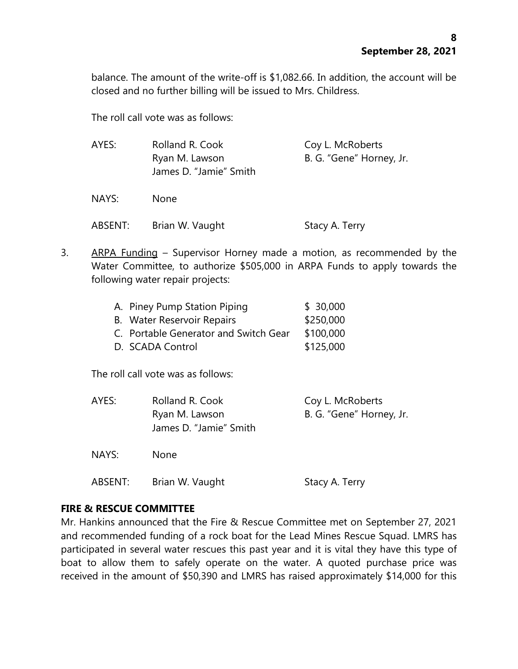balance. The amount of the write-off is \$1,082.66. In addition, the account will be closed and no further billing will be issued to Mrs. Childress.

The roll call vote was as follows:

| AYES:   | Rolland R. Cook<br>Ryan M. Lawson<br>James D. "Jamie" Smith | Coy L. McRoberts<br>B. G. "Gene" Horney, Jr. |
|---------|-------------------------------------------------------------|----------------------------------------------|
| NAYS:   | <b>None</b>                                                 |                                              |
| ABSENT: | Brian W. Vaught                                             | Stacy A. Terry                               |

3. ARPA Funding – Supervisor Horney made a motion, as recommended by the Water Committee, to authorize \$505,000 in ARPA Funds to apply towards the following water repair projects:

| A. Piney Pump Station Piping          | \$30,000  |
|---------------------------------------|-----------|
| B. Water Reservoir Repairs            | \$250,000 |
| C. Portable Generator and Switch Gear | \$100,000 |
| D. SCADA Control                      | \$125,000 |

The roll call vote was as follows:

| AYES:   | Rolland R. Cook<br>Ryan M. Lawson<br>James D. "Jamie" Smith | Coy L. McRoberts<br>B. G. "Gene" Horney, Jr. |
|---------|-------------------------------------------------------------|----------------------------------------------|
| NAYS:   | <b>None</b>                                                 |                                              |
| ABSENT: | Brian W. Vaught                                             | Stacy A. Terry                               |

## **FIRE & RESCUE COMMITTEE**

Mr. Hankins announced that the Fire & Rescue Committee met on September 27, 2021 and recommended funding of a rock boat for the Lead Mines Rescue Squad. LMRS has participated in several water rescues this past year and it is vital they have this type of boat to allow them to safely operate on the water. A quoted purchase price was received in the amount of \$50,390 and LMRS has raised approximately \$14,000 for this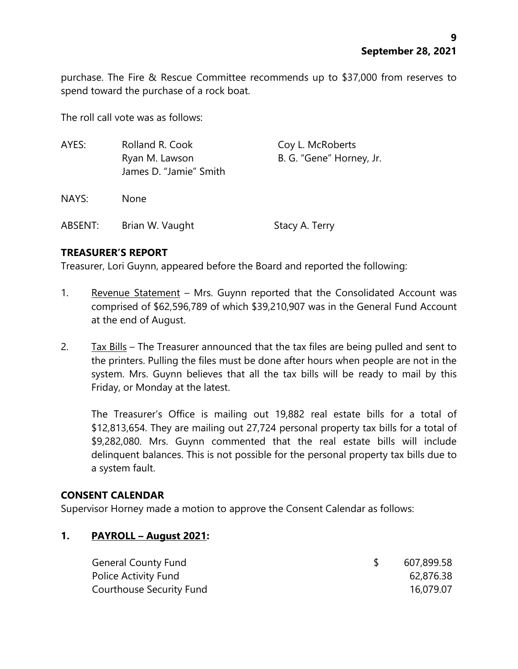purchase. The Fire & Rescue Committee recommends up to \$37,000 from reserves to spend toward the purchase of a rock boat.

The roll call vote was as follows:

| AYES:   | Rolland R. Cook<br>Ryan M. Lawson<br>James D. "Jamie" Smith | Coy L. McRoberts<br>B. G. "Gene" Horney, Jr. |
|---------|-------------------------------------------------------------|----------------------------------------------|
| NAYS:   | <b>None</b>                                                 |                                              |
| ABSENT: | Brian W. Vaught                                             | Stacy A. Terry                               |

# **TREASURER'S REPORT**

Treasurer, Lori Guynn, appeared before the Board and reported the following:

- 1. Revenue Statement Mrs. Guynn reported that the Consolidated Account was comprised of \$62,596,789 of which \$39,210,907 was in the General Fund Account at the end of August.
- 2. Tax Bills The Treasurer announced that the tax files are being pulled and sent to the printers. Pulling the files must be done after hours when people are not in the system. Mrs. Guynn believes that all the tax bills will be ready to mail by this Friday, or Monday at the latest.

The Treasurer's Office is mailing out 19,882 real estate bills for a total of \$12,813,654. They are mailing out 27,724 personal property tax bills for a total of \$9,282,080. Mrs. Guynn commented that the real estate bills will include delinquent balances. This is not possible for the personal property tax bills due to a system fault.

## **CONSENT CALENDAR**

Supervisor Horney made a motion to approve the Consent Calendar as follows:

## **1. PAYROLL – August 2021:**

| <b>General County Fund</b> | 607,899.58 |
|----------------------------|------------|
| Police Activity Fund       | 62,876.38  |
| Courthouse Security Fund   | 16,079.07  |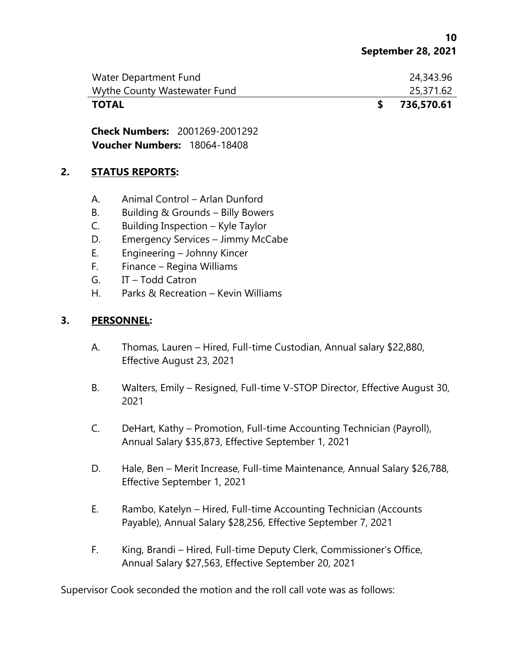| 736,570.61 |
|------------|
| 25,371.62  |
| 24,343.96  |
|            |

**Check Numbers:** 2001269-2001292 **Voucher Numbers:** 18064-18408

# **2. STATUS REPORTS:**

- A. Animal Control Arlan Dunford
- B. Building & Grounds Billy Bowers
- C. Building Inspection Kyle Taylor
- D. Emergency Services Jimmy McCabe
- E. Engineering Johnny Kincer
- F. Finance Regina Williams
- G. IT Todd Catron
- H. Parks & Recreation Kevin Williams

## **3. PERSONNEL:**

- A. Thomas, Lauren Hired, Full-time Custodian, Annual salary \$22,880, Effective August 23, 2021
- B. Walters, Emily Resigned, Full-time V-STOP Director, Effective August 30, 2021
- C. DeHart, Kathy Promotion, Full-time Accounting Technician (Payroll), Annual Salary \$35,873, Effective September 1, 2021
- D. Hale, Ben Merit Increase, Full-time Maintenance, Annual Salary \$26,788, Effective September 1, 2021
- E. Rambo, Katelyn Hired, Full-time Accounting Technician (Accounts Payable), Annual Salary \$28,256, Effective September 7, 2021
- F. King, Brandi Hired, Full-time Deputy Clerk, Commissioner's Office, Annual Salary \$27,563, Effective September 20, 2021

Supervisor Cook seconded the motion and the roll call vote was as follows: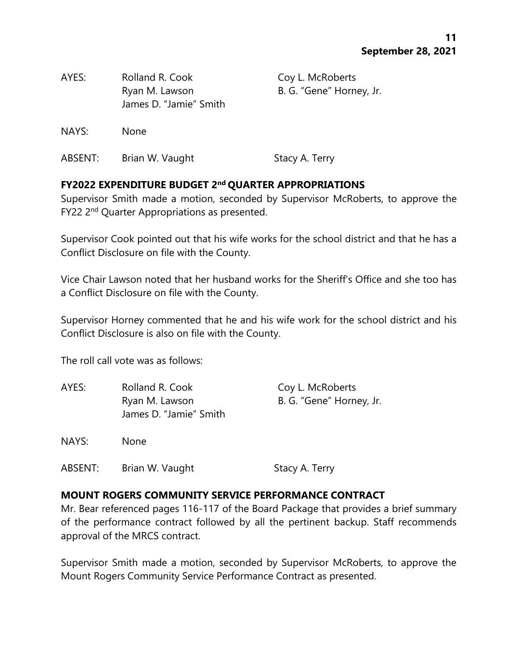| AYES: | Rolland R. Cook<br>Ryan M. Lawson<br>James D. "Jamie" Smith | Coy L. McRoberts<br>B. G. "Gene" Horney, Jr. |
|-------|-------------------------------------------------------------|----------------------------------------------|
| NAYS: | <b>None</b>                                                 |                                              |

ABSENT: Brian W. Vaught Stacy A. Terry

# **FY2022 EXPENDITURE BUDGET 2nd QUARTER APPROPRIATIONS**

Supervisor Smith made a motion, seconded by Supervisor McRoberts, to approve the FY22 2<sup>nd</sup> Quarter Appropriations as presented.

Supervisor Cook pointed out that his wife works for the school district and that he has a Conflict Disclosure on file with the County.

Vice Chair Lawson noted that her husband works for the Sheriff's Office and she too has a Conflict Disclosure on file with the County.

Supervisor Horney commented that he and his wife work for the school district and his Conflict Disclosure is also on file with the County.

The roll call vote was as follows:

| AYES: | Rolland R. Cook                          | Coy L. McRoberts         |
|-------|------------------------------------------|--------------------------|
|       | Ryan M. Lawson<br>James D. "Jamie" Smith | B. G. "Gene" Horney, Jr. |
| NAYS: | None                                     |                          |

ABSENT: Brian W. Vaught Stacy A. Terry

## **MOUNT ROGERS COMMUNITY SERVICE PERFORMANCE CONTRACT**

Mr. Bear referenced pages 116-117 of the Board Package that provides a brief summary of the performance contract followed by all the pertinent backup. Staff recommends approval of the MRCS contract.

Supervisor Smith made a motion, seconded by Supervisor McRoberts, to approve the Mount Rogers Community Service Performance Contract as presented.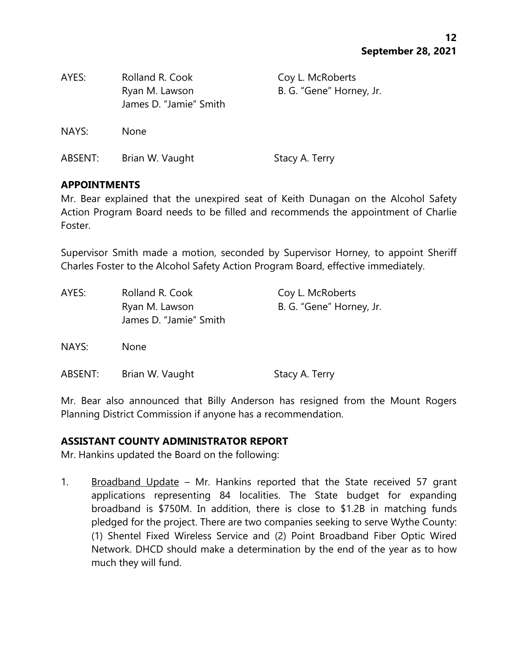| AYES:   | Rolland R. Cook<br>Ryan M. Lawson<br>James D. "Jamie" Smith | Coy L. McRoberts<br>B. G. "Gene" Horney, Jr. |
|---------|-------------------------------------------------------------|----------------------------------------------|
| NAYS:   | <b>None</b>                                                 |                                              |
| ABSENT: | Brian W. Vaught                                             | Stacy A. Terry                               |

#### **APPOINTMENTS**

Mr. Bear explained that the unexpired seat of Keith Dunagan on the Alcohol Safety Action Program Board needs to be filled and recommends the appointment of Charlie Foster.

Supervisor Smith made a motion, seconded by Supervisor Horney, to appoint Sheriff Charles Foster to the Alcohol Safety Action Program Board, effective immediately.

| AYES:   | Rolland R. Cook<br>Ryan M. Lawson<br>James D. "Jamie" Smith | Coy L. McRoberts<br>B. G. "Gene" Horney, Jr. |
|---------|-------------------------------------------------------------|----------------------------------------------|
| NAYS:   | <b>None</b>                                                 |                                              |
| ABSENT: | Brian W. Vaught                                             | Stacy A. Terry                               |

Mr. Bear also announced that Billy Anderson has resigned from the Mount Rogers Planning District Commission if anyone has a recommendation.

## **ASSISTANT COUNTY ADMINISTRATOR REPORT**

Mr. Hankins updated the Board on the following:

1. Broadband Update – Mr. Hankins reported that the State received 57 grant applications representing 84 localities. The State budget for expanding broadband is \$750M. In addition, there is close to \$1.2B in matching funds pledged for the project. There are two companies seeking to serve Wythe County: (1) Shentel Fixed Wireless Service and (2) Point Broadband Fiber Optic Wired Network. DHCD should make a determination by the end of the year as to how much they will fund.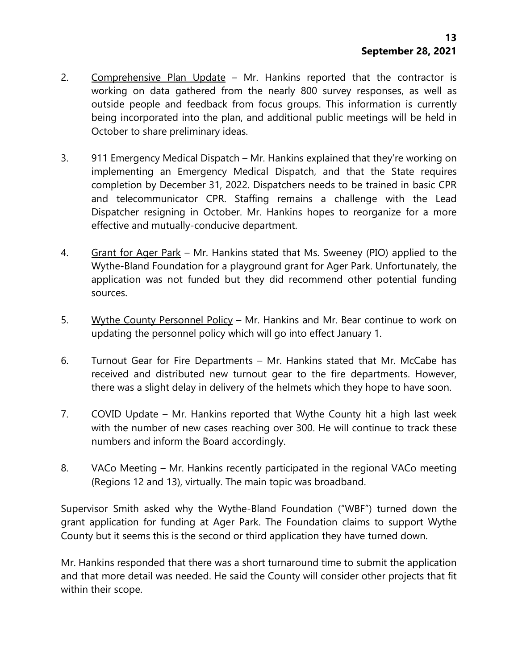- 2. Comprehensive Plan Update Mr. Hankins reported that the contractor is working on data gathered from the nearly 800 survey responses, as well as outside people and feedback from focus groups. This information is currently being incorporated into the plan, and additional public meetings will be held in October to share preliminary ideas.
- 3. 911 Emergency Medical Dispatch Mr. Hankins explained that they're working on implementing an Emergency Medical Dispatch, and that the State requires completion by December 31, 2022. Dispatchers needs to be trained in basic CPR and telecommunicator CPR. Staffing remains a challenge with the Lead Dispatcher resigning in October. Mr. Hankins hopes to reorganize for a more effective and mutually-conducive department.
- 4. Grant for Ager Park Mr. Hankins stated that Ms. Sweeney (PIO) applied to the Wythe-Bland Foundation for a playground grant for Ager Park. Unfortunately, the application was not funded but they did recommend other potential funding sources.
- 5. Wythe County Personnel Policy Mr. Hankins and Mr. Bear continue to work on updating the personnel policy which will go into effect January 1.
- 6. Turnout Gear for Fire Departments Mr. Hankins stated that Mr. McCabe has received and distributed new turnout gear to the fire departments. However, there was a slight delay in delivery of the helmets which they hope to have soon.
- 7. COVID Update Mr. Hankins reported that Wythe County hit a high last week with the number of new cases reaching over 300. He will continue to track these numbers and inform the Board accordingly.
- 8. VACo Meeting Mr. Hankins recently participated in the regional VACo meeting (Regions 12 and 13), virtually. The main topic was broadband.

Supervisor Smith asked why the Wythe-Bland Foundation ("WBF") turned down the grant application for funding at Ager Park. The Foundation claims to support Wythe County but it seems this is the second or third application they have turned down.

Mr. Hankins responded that there was a short turnaround time to submit the application and that more detail was needed. He said the County will consider other projects that fit within their scope.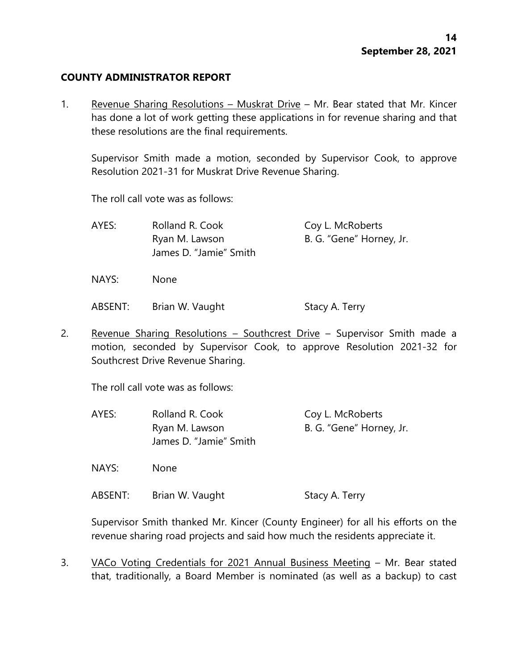#### **COUNTY ADMINISTRATOR REPORT**

1. Revenue Sharing Resolutions – Muskrat Drive – Mr. Bear stated that Mr. Kincer has done a lot of work getting these applications in for revenue sharing and that these resolutions are the final requirements.

Supervisor Smith made a motion, seconded by Supervisor Cook, to approve Resolution 2021-31 for Muskrat Drive Revenue Sharing.

The roll call vote was as follows:

| AYES: | Rolland R. Cook        | Coy L. McRoberts         |
|-------|------------------------|--------------------------|
|       | Ryan M. Lawson         | B. G. "Gene" Horney, Jr. |
|       | James D. "Jamie" Smith |                          |
| NAYS: | None                   |                          |

ABSENT: Brian W. Vaught Stacy A. Terry

2. Revenue Sharing Resolutions - Southcrest Drive - Supervisor Smith made a motion, seconded by Supervisor Cook, to approve Resolution 2021-32 for Southcrest Drive Revenue Sharing.

The roll call vote was as follows:

| AYES: | Rolland R. Cook                          | Coy L. McRoberts         |
|-------|------------------------------------------|--------------------------|
|       | Ryan M. Lawson<br>James D. "Jamie" Smith | B. G. "Gene" Horney, Jr. |
| NAYS: | <b>None</b>                              |                          |

ABSENT: Brian W. Vaught Stacy A. Terry

Supervisor Smith thanked Mr. Kincer (County Engineer) for all his efforts on the revenue sharing road projects and said how much the residents appreciate it.

3. VACo Voting Credentials for 2021 Annual Business Meeting – Mr. Bear stated that, traditionally, a Board Member is nominated (as well as a backup) to cast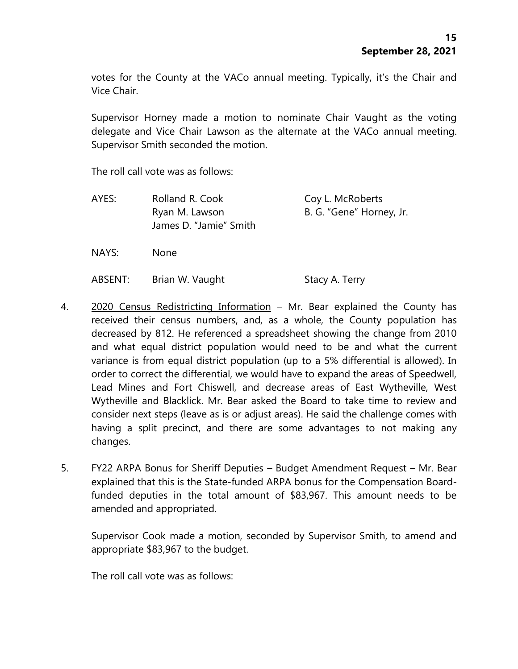votes for the County at the VACo annual meeting. Typically, it's the Chair and Vice Chair.

Supervisor Horney made a motion to nominate Chair Vaught as the voting delegate and Vice Chair Lawson as the alternate at the VACo annual meeting. Supervisor Smith seconded the motion.

The roll call vote was as follows:

| AYES:   | Rolland R. Cook<br>Ryan M. Lawson<br>James D. "Jamie" Smith | Coy L. McRoberts<br>B. G. "Gene" Horney, Jr. |
|---------|-------------------------------------------------------------|----------------------------------------------|
| NAYS:   | None                                                        |                                              |
| ABSENT: | Brian W. Vaught                                             | Stacy A. Terry                               |

- 4. 2020 Census Redistricting Information Mr. Bear explained the County has received their census numbers, and, as a whole, the County population has decreased by 812. He referenced a spreadsheet showing the change from 2010 and what equal district population would need to be and what the current variance is from equal district population (up to a 5% differential is allowed). In order to correct the differential, we would have to expand the areas of Speedwell, Lead Mines and Fort Chiswell, and decrease areas of East Wytheville, West Wytheville and Blacklick. Mr. Bear asked the Board to take time to review and consider next steps (leave as is or adjust areas). He said the challenge comes with having a split precinct, and there are some advantages to not making any changes.
- 5. FY22 ARPA Bonus for Sheriff Deputies Budget Amendment Request Mr. Bear explained that this is the State-funded ARPA bonus for the Compensation Boardfunded deputies in the total amount of \$83,967. This amount needs to be amended and appropriated.

Supervisor Cook made a motion, seconded by Supervisor Smith, to amend and appropriate \$83,967 to the budget.

The roll call vote was as follows: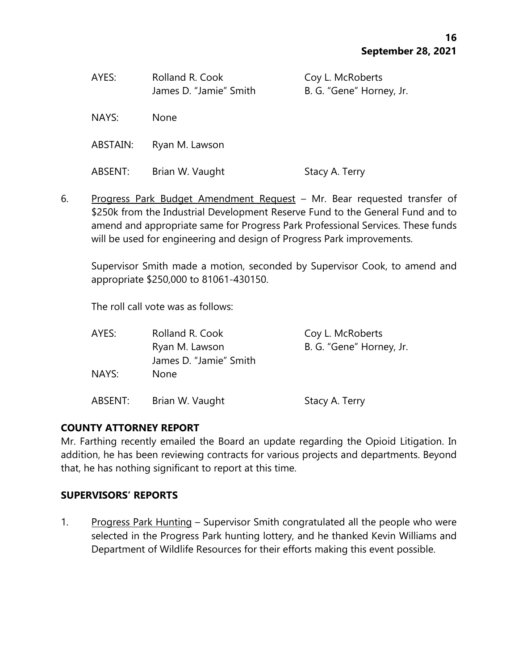| AYES:    | Rolland R. Cook<br>James D. "Jamie" Smith | Coy L. McRoberts<br>B. G. "Gene" Horney, Jr. |
|----------|-------------------------------------------|----------------------------------------------|
| NAYS:    | None.                                     |                                              |
| ABSTAIN: | Ryan M. Lawson                            |                                              |
| ABSENT:  | Brian W. Vaught                           | Stacy A. Terry                               |

6. Progress Park Budget Amendment Request - Mr. Bear requested transfer of \$250k from the Industrial Development Reserve Fund to the General Fund and to amend and appropriate same for Progress Park Professional Services. These funds will be used for engineering and design of Progress Park improvements.

Supervisor Smith made a motion, seconded by Supervisor Cook, to amend and appropriate \$250,000 to 81061-430150.

The roll call vote was as follows:

| AYES:   | Rolland R. Cook        | Coy L. McRoberts         |
|---------|------------------------|--------------------------|
|         | Ryan M. Lawson         | B. G. "Gene" Horney, Jr. |
|         | James D. "Jamie" Smith |                          |
| NAYS:   | <b>None</b>            |                          |
| ABSENT: | Brian W. Vaught        | Stacy A. Terry           |

## **COUNTY ATTORNEY REPORT**

Mr. Farthing recently emailed the Board an update regarding the Opioid Litigation. In addition, he has been reviewing contracts for various projects and departments. Beyond that, he has nothing significant to report at this time.

## **SUPERVISORS' REPORTS**

1. Progress Park Hunting – Supervisor Smith congratulated all the people who were selected in the Progress Park hunting lottery, and he thanked Kevin Williams and Department of Wildlife Resources for their efforts making this event possible.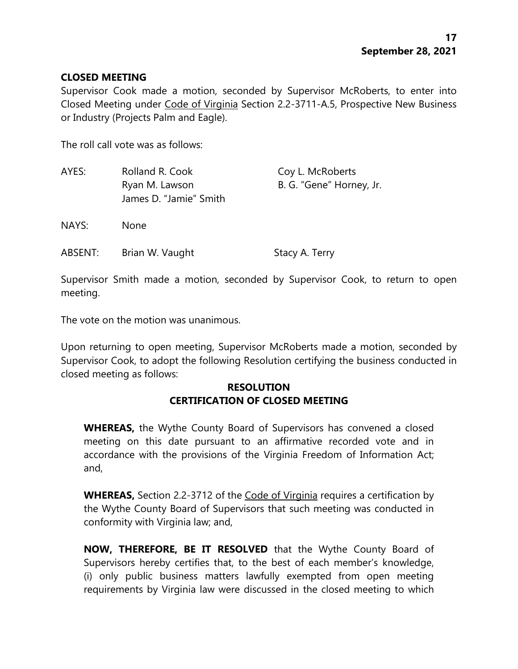#### **CLOSED MEETING**

Supervisor Cook made a motion, seconded by Supervisor McRoberts, to enter into Closed Meeting under Code of Virginia Section 2.2-3711-A.5, Prospective New Business or Industry (Projects Palm and Eagle).

The roll call vote was as follows:

| AYES:   | Rolland R. Cook        | Coy L. McRoberts         |
|---------|------------------------|--------------------------|
|         | Ryan M. Lawson         | B. G. "Gene" Horney, Jr. |
|         | James D. "Jamie" Smith |                          |
| NAYS:   | <b>None</b>            |                          |
| ABSENT: | Brian W. Vaught        | Stacy A. Terry           |

Supervisor Smith made a motion, seconded by Supervisor Cook, to return to open meeting.

The vote on the motion was unanimous.

Upon returning to open meeting, Supervisor McRoberts made a motion, seconded by Supervisor Cook, to adopt the following Resolution certifying the business conducted in closed meeting as follows:

## **RESOLUTION CERTIFICATION OF CLOSED MEETING**

**WHEREAS,** the Wythe County Board of Supervisors has convened a closed meeting on this date pursuant to an affirmative recorded vote and in accordance with the provisions of the Virginia Freedom of Information Act; and,

**WHEREAS,** Section 2.2-3712 of the Code of Virginia requires a certification by the Wythe County Board of Supervisors that such meeting was conducted in conformity with Virginia law; and,

**NOW, THEREFORE, BE IT RESOLVED** that the Wythe County Board of Supervisors hereby certifies that, to the best of each member's knowledge, (i) only public business matters lawfully exempted from open meeting requirements by Virginia law were discussed in the closed meeting to which